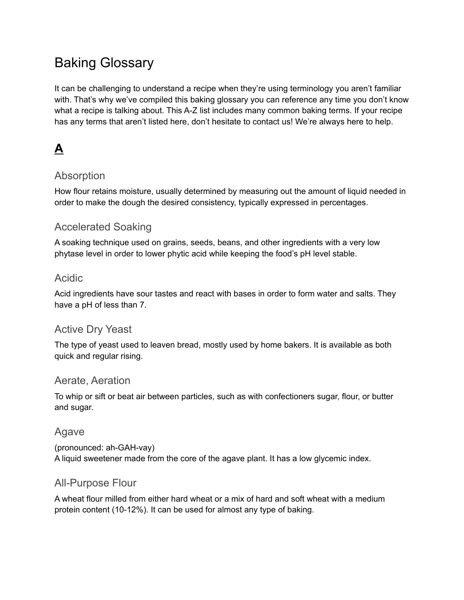# Baking Glossary

It can be challenging to understand a recipe when they're using terminology you aren't familiar with. That's why we've compiled this baking glossary you can reference any time you don't know what a recipe is talking about. This A-Z list includes many common baking terms. If your recipe has any terms that aren't listed here, don't hesitate to contact us! We're always here to help.

# **A**

## Absorption

How flour retains moisture, usually determined by measuring out the amount of liquid needed in order to make the dough the desired consistency, typically expressed in percentages.

## Accelerated Soaking

A soaking technique used on grains, seeds, beans, and other ingredients with a very low phytase level in order to lower phytic acid while keeping the food's pH level stable.

### Acidic

Acid ingredients have sour tastes and react with bases in order to form water and salts. They have a pH of less than 7.

## Active Dry Yeast

The type of yeast used to leaven bread, mostly used by home bakers. It is available as both quick and regular rising.

### Aerate, Aeration

To whip or sift or beat air between particles, such as with confectioners sugar, flour, or butter and sugar.

### Agave

(pronounced: ah-GAH-vay) A liquid sweetener made from the core of the agave plant. It has a low glycemic index.

### All-Purpose Flour

A wheat flour milled from either hard wheat or a mix of hard and soft wheat with a medium protein content (10-12%). It can be used for almost any type of baking.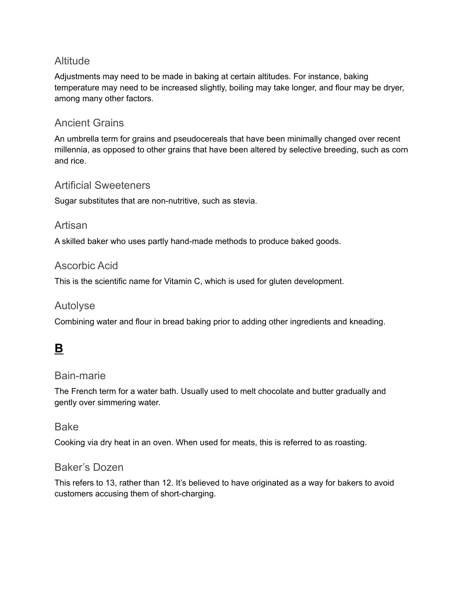## **Altitude**

Adjustments may need to be made in baking at certain altitudes. For instance, baking temperature may need to be increased slightly, boiling may take longer, and flour may be dryer, among many other factors.

### Ancient Grains

An umbrella term for grains and pseudocereals that have been minimally changed over recent millennia, as opposed to other grains that have been altered by selective breeding, such as corn and rice.

#### Artificial Sweeteners

Sugar substitutes that are non-nutritive, such as stevia.

#### Artisan

A skilled baker who uses partly hand-made methods to produce baked goods.

### Ascorbic Acid

This is the scientific name for Vitamin C, which is used for gluten development.

## Autolyse

Combining water and flour in bread baking prior to adding other ingredients and kneading.

## **B**

#### Bain-marie

The French term for a water bath. Usually used to melt chocolate and butter gradually and gently over simmering water.

#### Bake

Cooking via dry heat in an oven. When used for meats, this is referred to as roasting.

### Baker's Dozen

This refers to 13, rather than 12. It's believed to have originated as a way for bakers to avoid customers accusing them of short-charging.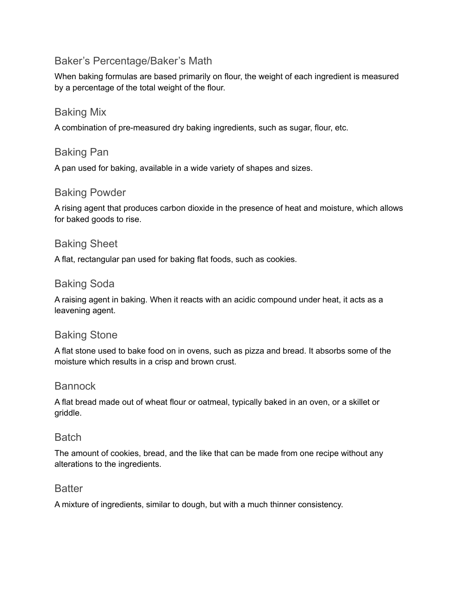## Baker's Percentage/Baker's Math

When baking formulas are based primarily on flour, the weight of each ingredient is measured by a percentage of the total weight of the flour.

#### Baking Mix

A combination of pre-measured dry baking ingredients, such as sugar, flour, etc.

#### Baking Pan

A pan used for baking, available in a wide variety of shapes and sizes.

#### Baking Powder

A rising agent that produces carbon dioxide in the presence of heat and moisture, which allows for baked goods to rise.

#### Baking Sheet

A flat, rectangular pan used for baking flat foods, such as cookies.

#### Baking Soda

A raising agent in baking. When it reacts with an acidic compound under heat, it acts as a leavening agent.

### Baking Stone

A flat stone used to bake food on in ovens, such as pizza and bread. It absorbs some of the moisture which results in a crisp and brown crust.

#### **Bannock**

A flat bread made out of wheat flour or oatmeal, typically baked in an oven, or a skillet or griddle.

#### **Batch**

The amount of cookies, bread, and the like that can be made from one recipe without any alterations to the ingredients.

#### **Batter**

A mixture of ingredients, similar to dough, but with a much thinner consistency.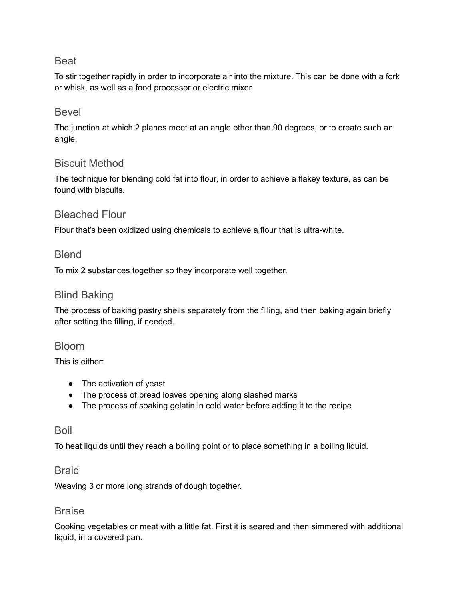#### Beat

To stir together rapidly in order to incorporate air into the mixture. This can be done with a fork or whisk, as well as a food processor or electric mixer.

#### Bevel

The junction at which 2 planes meet at an angle other than 90 degrees, or to create such an angle.

### Biscuit Method

The technique for blending cold fat into flour, in order to achieve a flakey texture, as can be found with biscuits.

#### Bleached Flour

Flour that's been oxidized using chemicals to achieve a flour that is ultra-white.

#### Blend

To mix 2 substances together so they incorporate well together.

#### Blind Baking

The process of baking pastry shells separately from the filling, and then baking again briefly after setting the filling, if needed.

#### Bloom

This is either:

- The activation of yeast
- The process of bread loaves opening along slashed marks
- The process of soaking gelatin in cold water before adding it to the recipe

#### Boil

To heat liquids until they reach a boiling point or to place something in a boiling liquid.

#### **Braid**

Weaving 3 or more long strands of dough together.

#### **Braise**

Cooking vegetables or meat with a little fat. First it is seared and then simmered with additional liquid, in a covered pan.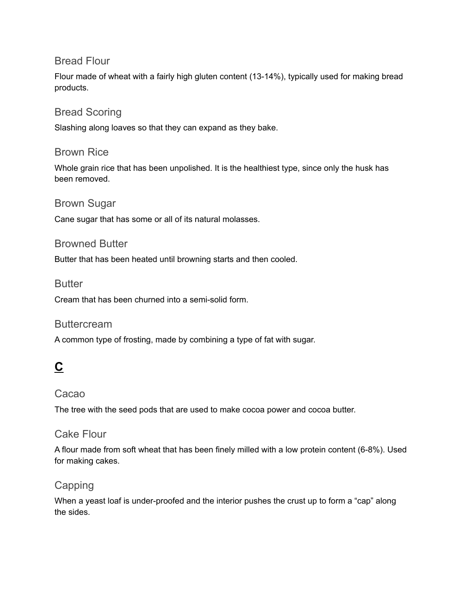#### Bread Flour

Flour made of wheat with a fairly high gluten content (13-14%), typically used for making bread products.

### Bread Scoring

Slashing along loaves so that they can expand as they bake.

#### Brown Rice

Whole grain rice that has been unpolished. It is the healthiest type, since only the husk has been removed.

#### Brown Sugar

Cane sugar that has some or all of its natural molasses.

#### Browned Butter

Butter that has been heated until browning starts and then cooled.

#### **Butter**

Cream that has been churned into a semi-solid form.

#### **Buttercream**

A common type of frosting, made by combining a type of fat with sugar.

## **C**

### Cacao

The tree with the seed pods that are used to make cocoa power and cocoa butter.

### Cake Flour

A flour made from soft wheat that has been finely milled with a low protein content (6-8%). Used for making cakes.

### Capping

When a yeast loaf is under-proofed and the interior pushes the crust up to form a "cap" along the sides.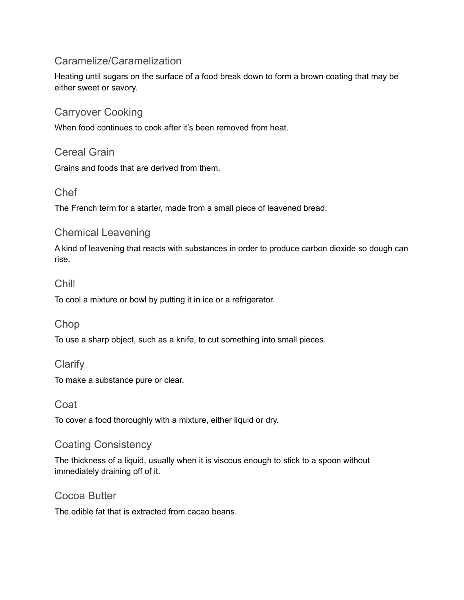## Caramelize/Caramelization

Heating until sugars on the surface of a food break down to form a brown coating that may be either sweet or savory.

## Carryover Cooking

When food continues to cook after it's been removed from heat.

#### Cereal Grain

Grains and foods that are derived from them.

### Chef

The French term for a starter, made from a small piece of leavened bread.

## Chemical Leavening

A kind of leavening that reacts with substances in order to produce carbon dioxide so dough can rise.

## Chill

To cool a mixture or bowl by putting it in ice or a refrigerator.

### Chop

To use a sharp object, such as a knife, to cut something into small pieces.

### **Clarify**

To make a substance pure or clear.

#### Coat

To cover a food thoroughly with a mixture, either liquid or dry.

### Coating Consistency

The thickness of a liquid, usually when it is viscous enough to stick to a spoon without immediately draining off of it.

#### Cocoa Butter

The edible fat that is extracted from cacao beans.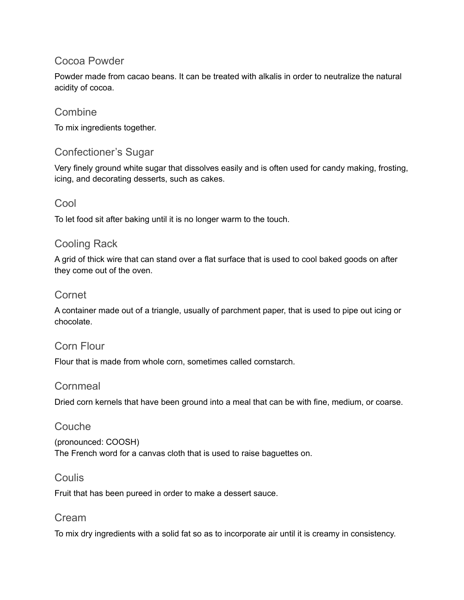### Cocoa Powder

Powder made from cacao beans. It can be treated with alkalis in order to neutralize the natural acidity of cocoa.

## **Combine**

To mix ingredients together.

### Confectioner's Sugar

Very finely ground white sugar that dissolves easily and is often used for candy making, frosting, icing, and decorating desserts, such as cakes.

### Cool

To let food sit after baking until it is no longer warm to the touch.

## Cooling Rack

A grid of thick wire that can stand over a flat surface that is used to cool baked goods on after they come out of the oven.

### Cornet

A container made out of a triangle, usually of parchment paper, that is used to pipe out icing or chocolate.

### Corn Flour

Flour that is made from whole corn, sometimes called cornstarch.

#### **Cornmeal**

Dried corn kernels that have been ground into a meal that can be with fine, medium, or coarse.

#### Couche

(pronounced: COOSH) The French word for a canvas cloth that is used to raise baguettes on.

#### **Coulis**

Fruit that has been pureed in order to make a dessert sauce.

#### Cream

To mix dry ingredients with a solid fat so as to incorporate air until it is creamy in consistency.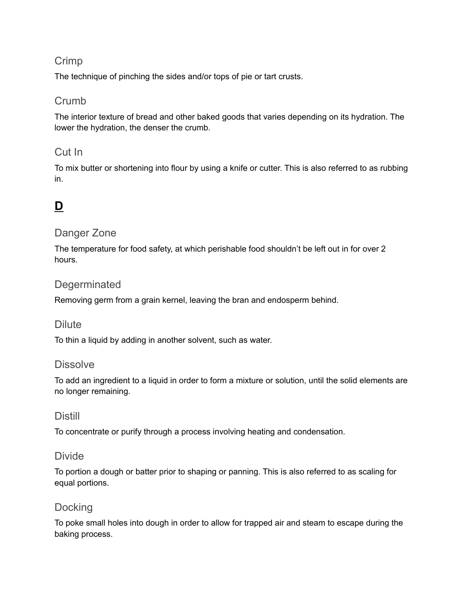## Crimp

The technique of pinching the sides and/or tops of pie or tart crusts.

### Crumb

The interior texture of bread and other baked goods that varies depending on its hydration. The lower the hydration, the denser the crumb.

## Cut In

To mix butter or shortening into flour by using a knife or cutter. This is also referred to as rubbing in.

## **D**

### Danger Zone

The temperature for food safety, at which perishable food shouldn't be left out in for over 2 hours.

### **Degerminated**

Removing germ from a grain kernel, leaving the bran and endosperm behind.

### **Dilute**

To thin a liquid by adding in another solvent, such as water.

#### **Dissolve**

To add an ingredient to a liquid in order to form a mixture or solution, until the solid elements are no longer remaining.

### Distill

To concentrate or purify through a process involving heating and condensation.

### Divide

To portion a dough or batter prior to shaping or panning. This is also referred to as scaling for equal portions.

## **Docking**

To poke small holes into dough in order to allow for trapped air and steam to escape during the baking process.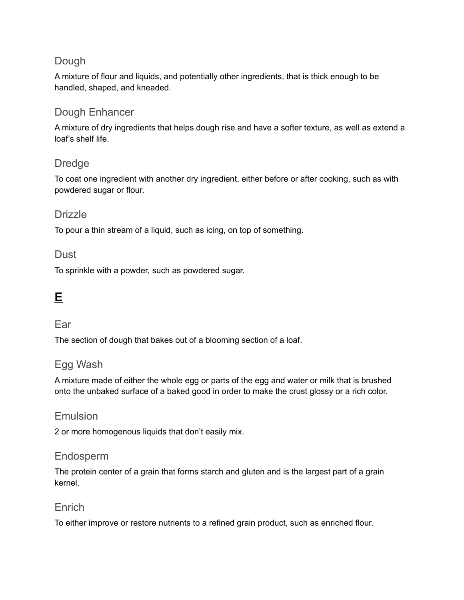## Dough

A mixture of flour and liquids, and potentially other ingredients, that is thick enough to be handled, shaped, and kneaded.

### Dough Enhancer

A mixture of dry ingredients that helps dough rise and have a softer texture, as well as extend a loaf's shelf life.

## Dredge

To coat one ingredient with another dry ingredient, either before or after cooking, such as with powdered sugar or flour.

#### **Drizzle**

To pour a thin stream of a liquid, such as icing, on top of something.

#### **Dust**

To sprinkle with a powder, such as powdered sugar.

## **E**

#### Ear

The section of dough that bakes out of a blooming section of a loaf.

### Egg Wash

A mixture made of either the whole egg or parts of the egg and water or milk that is brushed onto the unbaked surface of a baked good in order to make the crust glossy or a rich color.

#### Emulsion

2 or more homogenous liquids that don't easily mix.

### Endosperm

The protein center of a grain that forms starch and gluten and is the largest part of a grain kernel.

### Enrich

To either improve or restore nutrients to a refined grain product, such as enriched flour.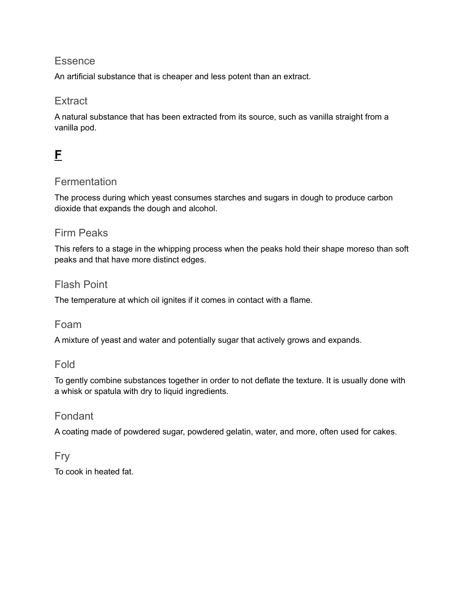#### **Essence**

An artificial substance that is cheaper and less potent than an extract.

### **Extract**

A natural substance that has been extracted from its source, such as vanilla straight from a vanilla pod.

## **F**

### **Fermentation**

The process during which yeast consumes starches and sugars in dough to produce carbon dioxide that expands the dough and alcohol.

### Firm Peaks

This refers to a stage in the whipping process when the peaks hold their shape moreso than soft peaks and that have more distinct edges.

#### Flash Point

The temperature at which oil ignites if it comes in contact with a flame.

#### Foam

A mixture of yeast and water and potentially sugar that actively grows and expands.

#### Fold

To gently combine substances together in order to not deflate the texture. It is usually done with a whisk or spatula with dry to liquid ingredients.

#### Fondant

A coating made of powdered sugar, powdered gelatin, water, and more, often used for cakes.

## Fry

To cook in heated fat.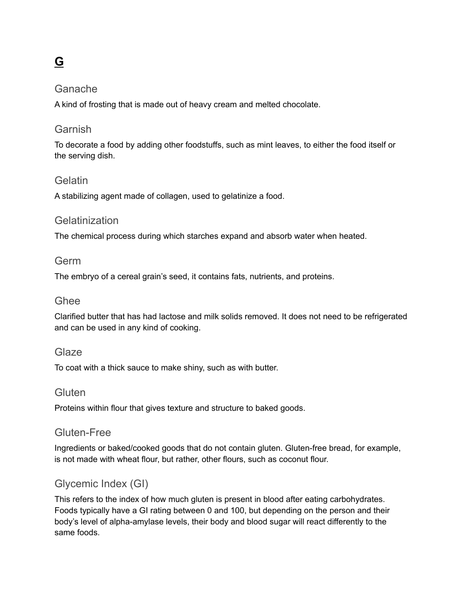# **G**

#### Ganache

A kind of frosting that is made out of heavy cream and melted chocolate.

#### Garnish

To decorate a food by adding other foodstuffs, such as mint leaves, to either the food itself or the serving dish.

#### Gelatin

A stabilizing agent made of collagen, used to gelatinize a food.

#### **Gelatinization**

The chemical process during which starches expand and absorb water when heated.

#### Germ

The embryo of a cereal grain's seed, it contains fats, nutrients, and proteins.

#### Ghee

Clarified butter that has had lactose and milk solids removed. It does not need to be refrigerated and can be used in any kind of cooking.

#### Glaze

To coat with a thick sauce to make shiny, such as with butter.

#### **Gluten**

Proteins within flour that gives texture and structure to baked goods.

#### Gluten-Free

Ingredients or baked/cooked goods that do not contain gluten. Gluten-free bread, for example, is not made with wheat flour, but rather, other flours, such as coconut flour.

## Glycemic Index (GI)

This refers to the index of how much gluten is present in blood after eating carbohydrates. Foods typically have a GI rating between 0 and 100, but depending on the person and their body's level of alpha-amylase levels, their body and blood sugar will react differently to the same foods.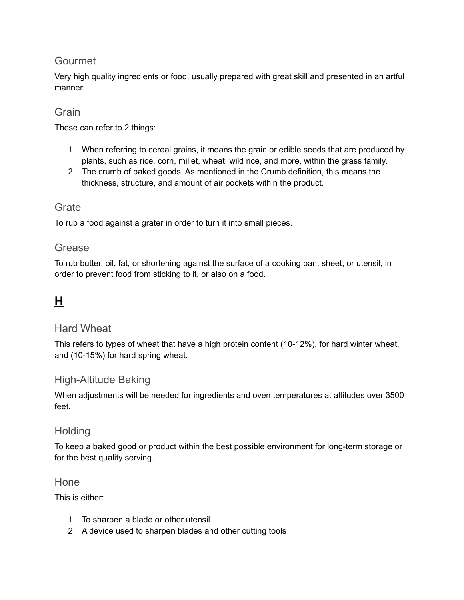## Gourmet

Very high quality ingredients or food, usually prepared with great skill and presented in an artful manner.

### Grain

These can refer to 2 things:

- 1. When referring to cereal grains, it means the grain or edible seeds that are produced by plants, such as rice, corn, millet, wheat, wild rice, and more, within the grass family.
- 2. The crumb of baked goods. As mentioned in the Crumb definition, this means the thickness, structure, and amount of air pockets within the product.

## **Grate**

To rub a food against a grater in order to turn it into small pieces.

### Grease

To rub butter, oil, fat, or shortening against the surface of a cooking pan, sheet, or utensil, in order to prevent food from sticking to it, or also on a food.

## **H**

### Hard Wheat

This refers to types of wheat that have a high protein content (10-12%), for hard winter wheat, and (10-15%) for hard spring wheat.

### High-Altitude Baking

When adjustments will be needed for ingredients and oven temperatures at altitudes over 3500 feet.

### **Holding**

To keep a baked good or product within the best possible environment for long-term storage or for the best quality serving.

#### Hone

This is either:

- 1. To sharpen a blade or other utensil
- 2. A device used to sharpen blades and other cutting tools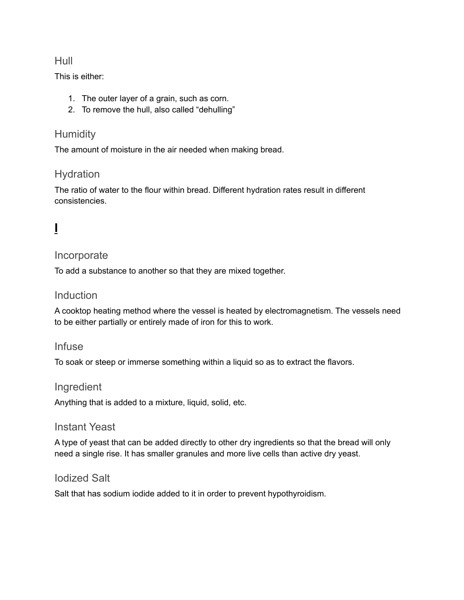#### Hull

This is either:

- 1. The outer layer of a grain, such as corn.
- 2. To remove the hull, also called "dehulling"

## **Humidity**

The amount of moisture in the air needed when making bread.

## Hydration

The ratio of water to the flour within bread. Different hydration rates result in different consistencies.

# **I**

#### Incorporate

To add a substance to another so that they are mixed together.

### Induction

A cooktop heating method where the vessel is heated by electromagnetism. The vessels need to be either partially or entirely made of iron for this to work.

### Infuse

To soak or steep or immerse something within a liquid so as to extract the flavors.

#### Ingredient

Anything that is added to a mixture, liquid, solid, etc.

#### Instant Yeast

A type of yeast that can be added directly to other dry ingredients so that the bread will only need a single rise. It has smaller granules and more live cells than active dry yeast.

### Iodized Salt

Salt that has sodium iodide added to it in order to prevent hypothyroidism.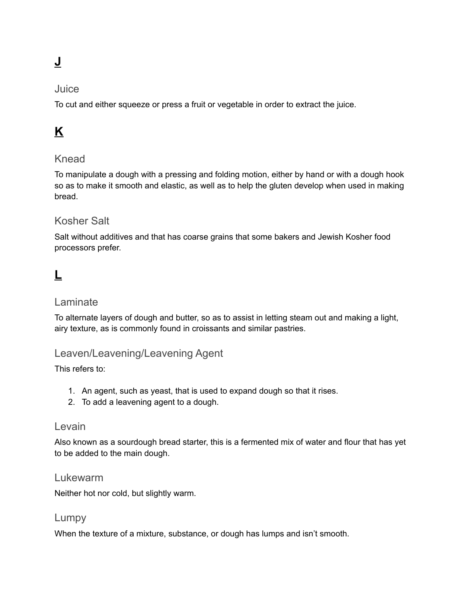# **J**

#### Juice

To cut and either squeeze or press a fruit or vegetable in order to extract the juice.

# **K**

### Knead

To manipulate a dough with a pressing and folding motion, either by hand or with a dough hook so as to make it smooth and elastic, as well as to help the gluten develop when used in making bread.

### Kosher Salt

Salt without additives and that has coarse grains that some bakers and Jewish Kosher food processors prefer.

## **L**

#### Laminate

To alternate layers of dough and butter, so as to assist in letting steam out and making a light, airy texture, as is commonly found in croissants and similar pastries.

### Leaven/Leavening/Leavening Agent

This refers to:

- 1. An agent, such as yeast, that is used to expand dough so that it rises.
- 2. To add a leavening agent to a dough.

#### Levain

Also known as a sourdough bread starter, this is a fermented mix of water and flour that has yet to be added to the main dough.

#### Lukewarm

Neither hot nor cold, but slightly warm.

#### Lumpy

When the texture of a mixture, substance, or dough has lumps and isn't smooth.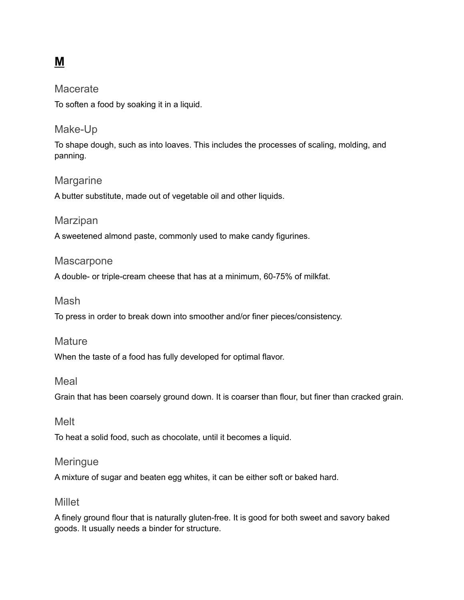## **M**

#### Macerate

To soften a food by soaking it in a liquid.

### Make-Up

To shape dough, such as into loaves. This includes the processes of scaling, molding, and panning.

#### Margarine

A butter substitute, made out of vegetable oil and other liquids.

#### Marzipan

A sweetened almond paste, commonly used to make candy figurines.

#### **Mascarpone**

A double- or triple-cream cheese that has at a minimum, 60-75% of milkfat.

#### Mash

To press in order to break down into smoother and/or finer pieces/consistency.

#### **Mature**

When the taste of a food has fully developed for optimal flavor.

#### Meal

Grain that has been coarsely ground down. It is coarser than flour, but finer than cracked grain.

#### Melt

To heat a solid food, such as chocolate, until it becomes a liquid.

#### **Meringue**

A mixture of sugar and beaten egg whites, it can be either soft or baked hard.

#### Millet

A finely ground flour that is naturally gluten-free. It is good for both sweet and savory baked goods. It usually needs a binder for structure.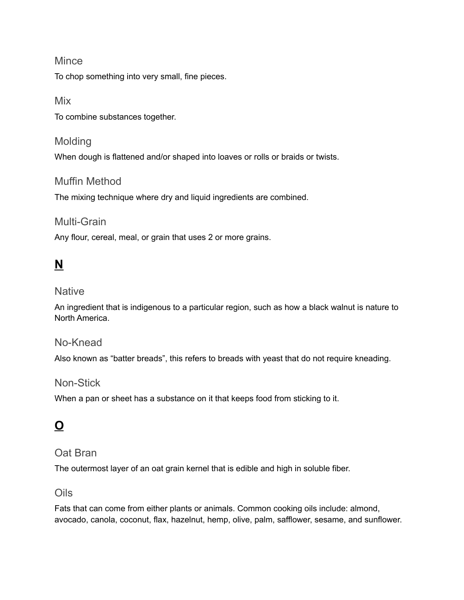#### Mince

To chop something into very small, fine pieces.

#### Mix

To combine substances together.

#### Molding

When dough is flattened and/or shaped into loaves or rolls or braids or twists.

#### Muffin Method

The mixing technique where dry and liquid ingredients are combined.

#### Multi-Grain

Any flour, cereal, meal, or grain that uses 2 or more grains.

## **N**

#### **Native**

An ingredient that is indigenous to a particular region, such as how a black walnut is nature to North America.

#### No-Knead

Also known as "batter breads", this refers to breads with yeast that do not require kneading.

#### Non-Stick

When a pan or sheet has a substance on it that keeps food from sticking to it.

## **O**

### Oat Bran

The outermost layer of an oat grain kernel that is edible and high in soluble fiber.

### Oils

Fats that can come from either plants or animals. Common cooking oils include: almond, avocado, canola, coconut, flax, hazelnut, hemp, olive, palm, safflower, sesame, and sunflower.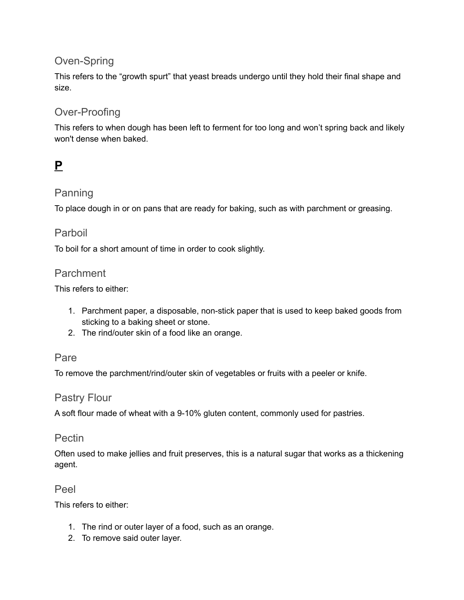## Oven-Spring

This refers to the "growth spurt" that yeast breads undergo until they hold their final shape and size.

## Over-Proofing

This refers to when dough has been left to ferment for too long and won't spring back and likely won't dense when baked.

## **P**

## Panning

To place dough in or on pans that are ready for baking, such as with parchment or greasing.

#### Parboil

To boil for a short amount of time in order to cook slightly.

#### Parchment

This refers to either:

- 1. Parchment paper, a disposable, non-stick paper that is used to keep baked goods from sticking to a baking sheet or stone.
- 2. The rind/outer skin of a food like an orange.

#### Pare

To remove the parchment/rind/outer skin of vegetables or fruits with a peeler or knife.

#### Pastry Flour

A soft flour made of wheat with a 9-10% gluten content, commonly used for pastries.

#### Pectin

Often used to make jellies and fruit preserves, this is a natural sugar that works as a thickening agent.

#### Peel

This refers to either:

- 1. The rind or outer layer of a food, such as an orange.
- 2. To remove said outer layer.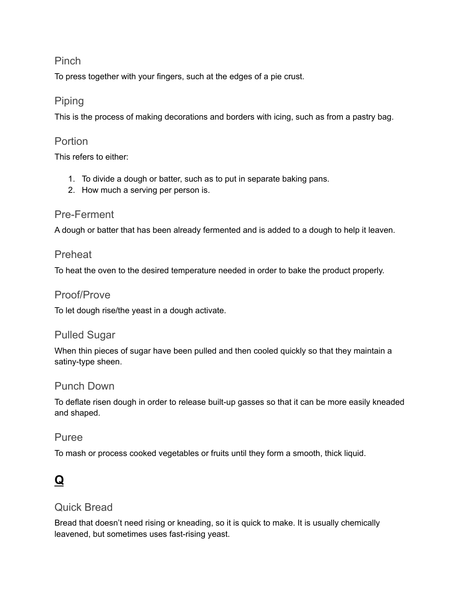#### Pinch

To press together with your fingers, such at the edges of a pie crust.

### Piping

This is the process of making decorations and borders with icing, such as from a pastry bag.

### **Portion**

This refers to either:

- 1. To divide a dough or batter, such as to put in separate baking pans.
- 2. How much a serving per person is.

#### Pre-Ferment

A dough or batter that has been already fermented and is added to a dough to help it leaven.

#### **Preheat**

To heat the oven to the desired temperature needed in order to bake the product properly.

#### Proof/Prove

To let dough rise/the yeast in a dough activate.

### Pulled Sugar

When thin pieces of sugar have been pulled and then cooled quickly so that they maintain a satiny-type sheen.

#### Punch Down

To deflate risen dough in order to release built-up gasses so that it can be more easily kneaded and shaped.

#### Puree

To mash or process cooked vegetables or fruits until they form a smooth, thick liquid.

## **Q**

## Quick Bread

Bread that doesn't need rising or kneading, so it is quick to make. It is usually chemically leavened, but sometimes uses fast-rising yeast.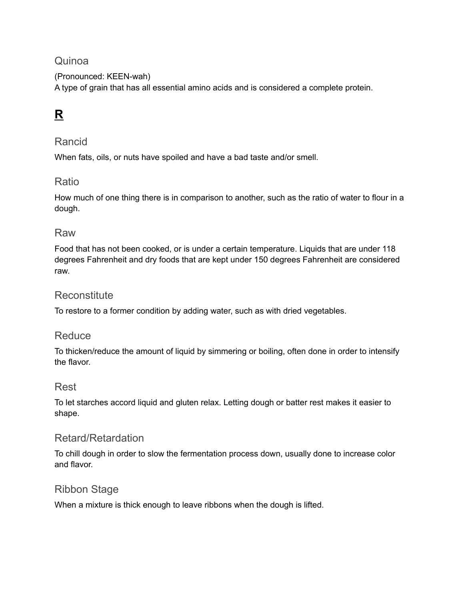## Quinoa

(Pronounced: KEEN-wah) A type of grain that has all essential amino acids and is considered a complete protein.

# **R**

### Rancid

When fats, oils, or nuts have spoiled and have a bad taste and/or smell.

### Ratio

How much of one thing there is in comparison to another, such as the ratio of water to flour in a dough.

#### Raw

Food that has not been cooked, or is under a certain temperature. Liquids that are under 118 degrees Fahrenheit and dry foods that are kept under 150 degrees Fahrenheit are considered raw.

### **Reconstitute**

To restore to a former condition by adding water, such as with dried vegetables.

### **Reduce**

To thicken/reduce the amount of liquid by simmering or boiling, often done in order to intensify the flavor.

### Rest

To let starches accord liquid and gluten relax. Letting dough or batter rest makes it easier to shape.

### Retard/Retardation

To chill dough in order to slow the fermentation process down, usually done to increase color and flavor.

### Ribbon Stage

When a mixture is thick enough to leave ribbons when the dough is lifted.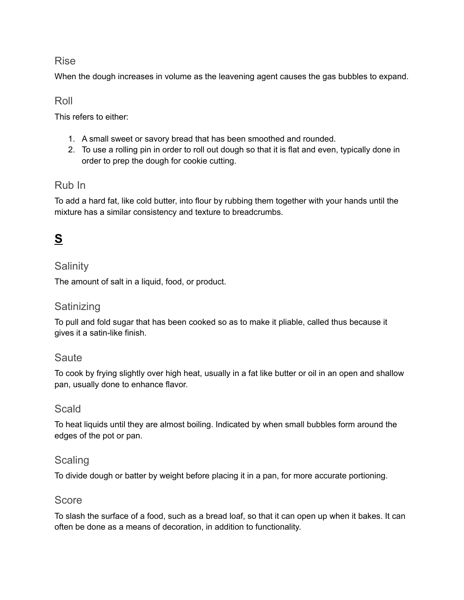#### Rise

When the dough increases in volume as the leavening agent causes the gas bubbles to expand.

#### Roll

This refers to either:

- 1. A small sweet or savory bread that has been smoothed and rounded.
- 2. To use a rolling pin in order to roll out dough so that it is flat and even, typically done in order to prep the dough for cookie cutting.

#### Rub In

To add a hard fat, like cold butter, into flour by rubbing them together with your hands until the mixture has a similar consistency and texture to breadcrumbs.

## **S**

## **Salinity**

The amount of salt in a liquid, food, or product.

### Satinizing

To pull and fold sugar that has been cooked so as to make it pliable, called thus because it gives it a satin-like finish.

### **Saute**

To cook by frying slightly over high heat, usually in a fat like butter or oil in an open and shallow pan, usually done to enhance flavor.

### **Scald**

To heat liquids until they are almost boiling. Indicated by when small bubbles form around the edges of the pot or pan.

### **Scaling**

To divide dough or batter by weight before placing it in a pan, for more accurate portioning.

### Score

To slash the surface of a food, such as a bread loaf, so that it can open up when it bakes. It can often be done as a means of decoration, in addition to functionality.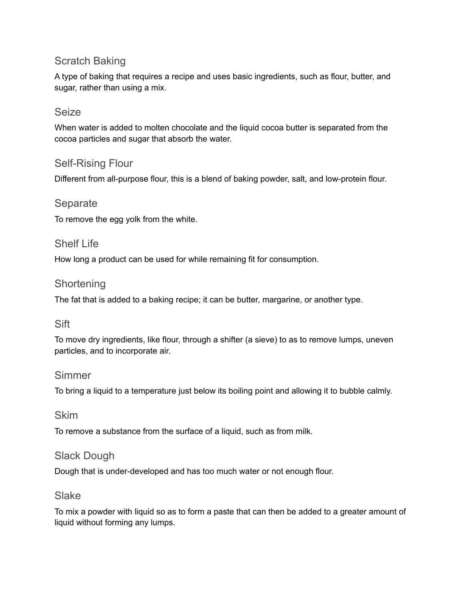## Scratch Baking

A type of baking that requires a recipe and uses basic ingredients, such as flour, butter, and sugar, rather than using a mix.

#### Seize

When water is added to molten chocolate and the liquid cocoa butter is separated from the cocoa particles and sugar that absorb the water.

## Self-Rising Flour

Different from all-purpose flour, this is a blend of baking powder, salt, and low-protein flour.

#### Separate

To remove the egg yolk from the white.

#### Shelf Life

How long a product can be used for while remaining fit for consumption.

#### **Shortening**

The fat that is added to a baking recipe; it can be butter, margarine, or another type.

#### **Sift**

To move dry ingredients, like flour, through a shifter (a sieve) to as to remove lumps, uneven particles, and to incorporate air.

#### Simmer

To bring a liquid to a temperature just below its boiling point and allowing it to bubble calmly.

#### Skim

To remove a substance from the surface of a liquid, such as from milk.

#### Slack Dough

Dough that is under-developed and has too much water or not enough flour.

#### Slake

To mix a powder with liquid so as to form a paste that can then be added to a greater amount of liquid without forming any lumps.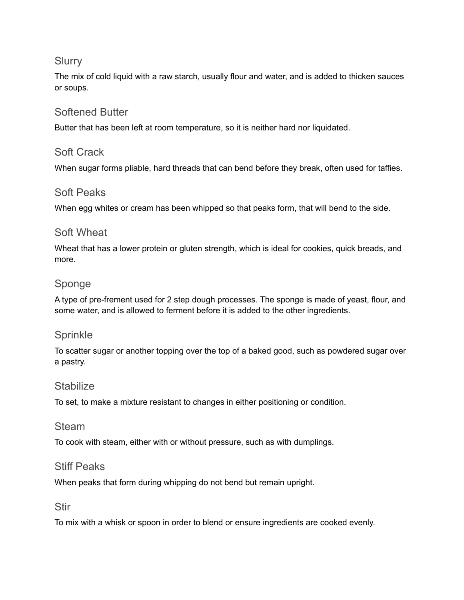#### **Slurry**

The mix of cold liquid with a raw starch, usually flour and water, and is added to thicken sauces or soups.

## Softened Butter

Butter that has been left at room temperature, so it is neither hard nor liquidated.

#### Soft Crack

When sugar forms pliable, hard threads that can bend before they break, often used for taffies.

#### Soft Peaks

When egg whites or cream has been whipped so that peaks form, that will bend to the side.

### Soft Wheat

Wheat that has a lower protein or gluten strength, which is ideal for cookies, quick breads, and more.

## Sponge

A type of pre-frement used for 2 step dough processes. The sponge is made of yeast, flour, and some water, and is allowed to ferment before it is added to the other ingredients.

### Sprinkle

To scatter sugar or another topping over the top of a baked good, such as powdered sugar over a pastry.

#### Stabilize

To set, to make a mixture resistant to changes in either positioning or condition.

#### Steam

To cook with steam, either with or without pressure, such as with dumplings.

#### Stiff Peaks

When peaks that form during whipping do not bend but remain upright.

#### Stir

To mix with a whisk or spoon in order to blend or ensure ingredients are cooked evenly.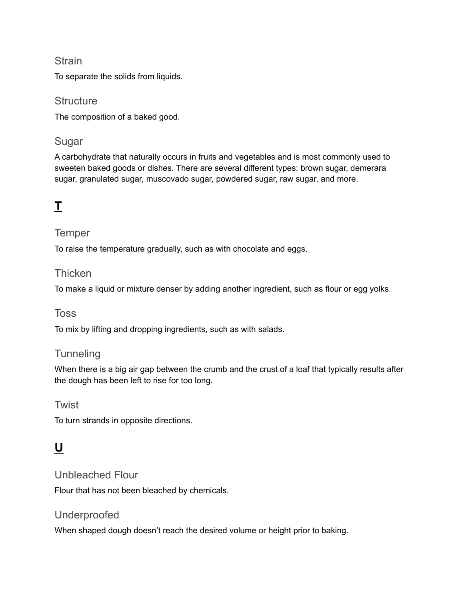#### **Strain**

To separate the solids from liquids.

#### **Structure**

The composition of a baked good.

## Sugar

A carbohydrate that naturally occurs in fruits and vegetables and is most commonly used to sweeten baked goods or dishes. There are several different types: brown sugar, demerara sugar, granulated sugar, muscovado sugar, powdered sugar, raw sugar, and more.

## **T**

## **Temper**

To raise the temperature gradually, such as with chocolate and eggs.

#### **Thicken**

To make a liquid or mixture denser by adding another ingredient, such as flour or egg yolks.

### Toss

To mix by lifting and dropping ingredients, such as with salads.

## **Tunneling**

When there is a big air gap between the crumb and the crust of a loaf that typically results after the dough has been left to rise for too long.

### **Twist**

To turn strands in opposite directions.

## **U**

### Unbleached Flour

Flour that has not been bleached by chemicals.

## Underproofed

When shaped dough doesn't reach the desired volume or height prior to baking.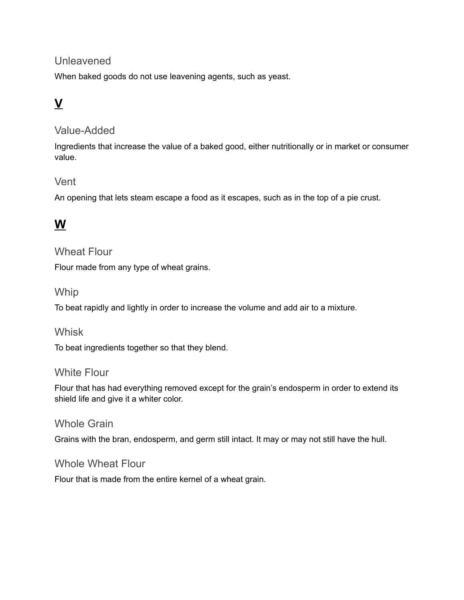## Unleavened

When baked goods do not use leavening agents, such as yeast.

# **V**

### Value-Added

Ingredients that increase the value of a baked good, either nutritionally or in market or consumer value.

### Vent

An opening that lets steam escape a food as it escapes, such as in the top of a pie crust.

## **W**

#### Wheat Flour

Flour made from any type of wheat grains.

#### **Whip**

To beat rapidly and lightly in order to increase the volume and add air to a mixture.

#### **Whisk**

To beat ingredients together so that they blend.

#### White Flour

Flour that has had everything removed except for the grain's endosperm in order to extend its shield life and give it a whiter color.

#### Whole Grain

Grains with the bran, endosperm, and germ still intact. It may or may not still have the hull.

#### Whole Wheat Flour

Flour that is made from the entire kernel of a wheat grain.